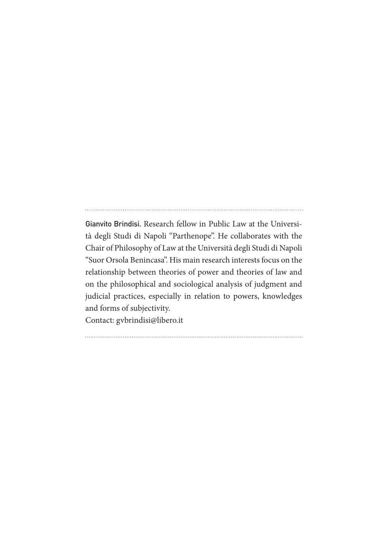Gianvito Brindisi. Research fellow in Public Law at the Università degli Studi di Napoli "Parthenope". He collaborates with the Chair of Philosophy of Law at the Università degli Studi di Napoli "Suor Orsola Benincasa". His main research interests focus on the relationship between theories of power and theories of law and on the philosophical and sociological analysis of judgment and judicial practices, especially in relation to powers, knowledges and forms of subjectivity.

Contact: gvbrindisi@libero.it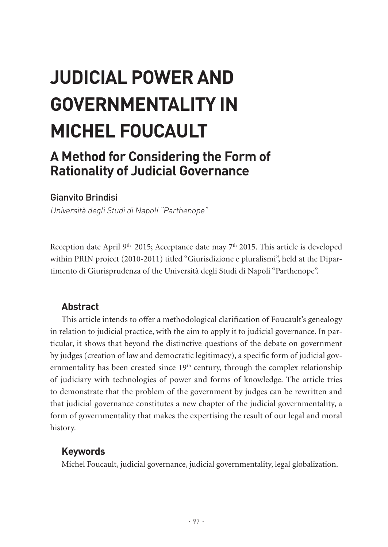# **JUDICIAL POWER AND GOVERNMENTALITY IN MICHEL FOUCAULT**

## **A Method for Considering the Form of Rationality of Judicial Governance**

## Gianvito Brindisi

Università degli Studi di Napoli "Parthenope"

Reception date April 9<sup>th</sup> 2015; Acceptance date may  $7<sup>th</sup>$  2015. This article is developed within PRIN project (2010-2011) titled "Giurisdizione e pluralismi", held at the Dipartimento di Giurisprudenza of the Università degli Studi di Napoli "Parthenope".

## **Abstract**

This article intends to offer a methodological clarification of Foucault's genealogy in relation to judicial practice, with the aim to apply it to judicial governance. In particular, it shows that beyond the distinctive questions of the debate on government by judges (creation of law and democratic legitimacy), a specific form of judicial governmentality has been created since 19<sup>th</sup> century, through the complex relationship of judiciary with technologies of power and forms of knowledge. The article tries to demonstrate that the problem of the government by judges can be rewritten and that judicial governance constitutes a new chapter of the judicial governmentality, a form of governmentality that makes the expertising the result of our legal and moral history.

## **Keywords**

Michel Foucault, judicial governance, judicial governmentality, legal globalization.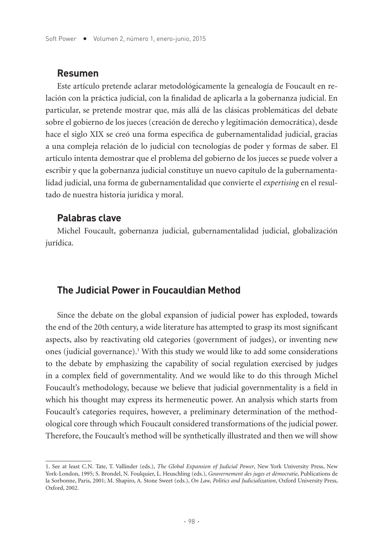#### **Resumen**

Este artículo pretende aclarar metodológicamente la genealogía de Foucault en relación con la práctica judicial, con la finalidad de aplicarla a la gobernanza judicial. En particular, se pretende mostrar que, más allá de las clásicas problemáticas del debate sobre el gobierno de los jueces (creación de derecho y legitimación democrática), desde hace el siglo XIX se creó una forma específica de gubernamentalidad judicial, gracias a una compleja relación de lo judicial con tecnologías de poder y formas de saber. El artículo intenta demostrar que el problema del gobierno de los jueces se puede volver a escribir y que la gobernanza judicial constituye un nuevo capítulo de la gubernamentalidad judicial, una forma de gubernamentalidad que convierte el *expertising* en el resultado de nuestra historia jurídica y moral.

#### **Palabras clave**

Michel Foucault, gobernanza judicial, gubernamentalidad judicial, globalización jurídica.

## **The Judicial Power in Foucauldian Method**

Since the debate on the global expansion of judicial power has exploded, towards the end of the 20th century, a wide literature has attempted to grasp its most significant aspects, also by reactivating old categories (government of judges), or inventing new ones (judicial governance).<sup>1</sup> With this study we would like to add some considerations to the debate by emphasizing the capability of social regulation exercised by judges in a complex field of governmentality. And we would like to do this through Michel Foucault's methodology, because we believe that judicial governmentality is a field in which his thought may express its hermeneutic power. An analysis which starts from Foucault's categories requires, however, a preliminary determination of the methodological core through which Foucault considered transformations of the judicial power. Therefore, the Foucault's method will be synthetically illustrated and then we will show

<sup>1.</sup> See at least C.N. Tate, T. Vallinder (eds.), *The Global Expansion of Judicial Power*, New York University Press, New York-London, 1995; S. Brondel, N. Foulquier, L. Heuschling (eds.), *Gouvernement des juges et démocratie*, Publications de la Sorbonne, Paris, 2001; M. Shapiro, A. Stone Sweet (eds.), *On Law, Politics and Judicialization*, Oxford University Press, Oxford, 2002.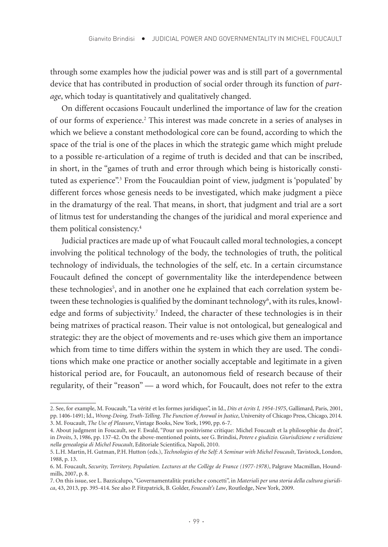through some examples how the judicial power was and is still part of a governmental device that has contributed in production of social order through its function of *partage*, which today is quantitatively and qualitatively changed.

On different occasions Foucault underlined the importance of law for the creation of our forms of experience.<sup>2</sup> This interest was made concrete in a series of analyses in which we believe a constant methodological core can be found, according to which the space of the trial is one of the places in which the strategic game which might prelude to a possible re-articulation of a regime of truth is decided and that can be inscribed, in short, in the "games of truth and error through which being is historically constituted as experience".3 From the Foucauldian point of view, judgment is 'populated' by different forces whose genesis needs to be investigated, which make judgment a pièce in the dramaturgy of the real. That means, in short, that judgment and trial are a sort of litmus test for understanding the changes of the juridical and moral experience and them political consistency.4

Judicial practices are made up of what Foucault called moral technologies, a concept involving the political technology of the body, the technologies of truth, the political technology of individuals, the technologies of the self, etc. In a certain circumstance Foucault defined the concept of governmentality like the interdependence between these technologies<sup>5</sup>, and in another one he explained that each correlation system between these technologies is qualified by the dominant technology<sup>6</sup>, with its rules, knowledge and forms of subjectivity.<sup>7</sup> Indeed, the character of these technologies is in their being matrixes of practical reason. Their value is not ontological, but genealogical and strategic: they are the object of movements and re-uses which give them an importance which from time to time differs within the system in which they are used. The conditions which make one practice or another socially acceptable and legitimate in a given historical period are, for Foucault, an autonomous field of research because of their regularity, of their "reason" — a word which, for Foucault, does not refer to the extra

<sup>2.</sup> See, for example, M. Foucault, "La vérité et les formes juridiques", in Id., *Dits et écrits I, 1954-1975*, Gallimard, Paris, 2001, pp. 1406-1491; Id., *Wrong-Doing, Truth-Telling. The Function of Avowal in Justice*, University of Chicago Press, Chicago, 2014. 3. M. Foucault, *The Use of Pleasure*, Vintage Books, New York, 1990, pp. 6-7.

<sup>4.</sup> About judgment in Foucault, see F. Ewald, "Pour un positivisme critique: Michel Foucault et la philosophie du droit", in *Droits*, 3, 1986, pp. 137-42. On the above-mentioned points, see G. Brindisi, *Potere e giudizio. Giurisdizione e veridizione nella genealogia di Michel Foucault*, Editoriale Scientifica, Napoli, 2010.

<sup>5.</sup> L.H. Martin, H. Gutman, P.H. Hutton (eds.), *Technologies of the Self: A Seminar with Michel Foucault*, Tavistock, London, 1988, p. 13.

<sup>6.</sup> M. Foucault, *Security, Territory, Population. Lectures at the Collège de France (1977-1978)*, Palgrave Macmillan, Houndmills, 2007, p. 8.

<sup>7.</sup> On this issue, see L. Bazzicalupo, "Governamentalità: pratiche e concetti", in *Materiali per una storia della cultura giuridica*, 43, 2013, pp. 395-414. See also P. Fitzpatrick, B. Golder, *Foucault's Law*, Routledge, New York, 2009.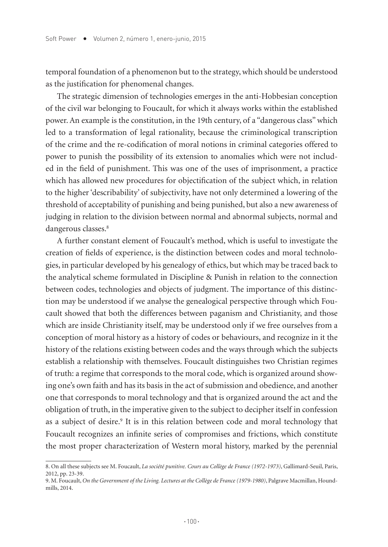temporal foundation of a phenomenon but to the strategy, which should be understood as the justification for phenomenal changes.

The strategic dimension of technologies emerges in the anti-Hobbesian conception of the civil war belonging to Foucault, for which it always works within the established power. An example is the constitution, in the 19th century, of a "dangerous class" which led to a transformation of legal rationality, because the criminological transcription of the crime and the re-codification of moral notions in criminal categories offered to power to punish the possibility of its extension to anomalies which were not included in the field of punishment. This was one of the uses of imprisonment, a practice which has allowed new procedures for objectification of the subject which, in relation to the higher 'describability' of subjectivity, have not only determined a lowering of the threshold of acceptability of punishing and being punished, but also a new awareness of judging in relation to the division between normal and abnormal subjects, normal and dangerous classes.<sup>8</sup>

A further constant element of Foucault's method, which is useful to investigate the creation of fields of experience, is the distinction between codes and moral technologies, in particular developed by his genealogy of ethics, but which may be traced back to the analytical scheme formulated in Discipline & Punish in relation to the connection between codes, technologies and objects of judgment. The importance of this distinction may be understood if we analyse the genealogical perspective through which Foucault showed that both the differences between paganism and Christianity, and those which are inside Christianity itself, may be understood only if we free ourselves from a conception of moral history as a history of codes or behaviours, and recognize in it the history of the relations existing between codes and the ways through which the subjects establish a relationship with themselves. Foucault distinguishes two Christian regimes of truth: a regime that corresponds to the moral code, which is organized around showing one's own faith and has its basis in the act of submission and obedience, and another one that corresponds to moral technology and that is organized around the act and the obligation of truth, in the imperative given to the subject to decipher itself in confession as a subject of desire.<sup>9</sup> It is in this relation between code and moral technology that Foucault recognizes an infinite series of compromises and frictions, which constitute the most proper characterization of Western moral history, marked by the perennial

<sup>8.</sup> On all these subjects see M. Foucault, *La société punitive. Cours au Collège de France (1972-1973)*, Gallimard-Seuil, Paris, 2012, pp. 23-39.

<sup>9.</sup> M. Foucault, *On the Government of the Living. Lectures at the Collège de France (1979-1980)*, Palgrave Macmillan, Houndmills, 2014.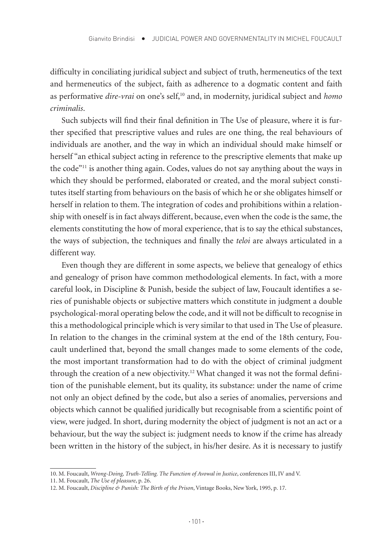difficulty in conciliating juridical subject and subject of truth, hermeneutics of the text and hermeneutics of the subject, faith as adherence to a dogmatic content and faith as performative *dire-vrai* on one's self,<sup>10</sup> and, in modernity, juridical subject and *homo criminalis*.

Such subjects will find their final definition in The Use of pleasure, where it is further specified that prescriptive values and rules are one thing, the real behaviours of individuals are another, and the way in which an individual should make himself or herself "an ethical subject acting in reference to the prescriptive elements that make up the code"11 is another thing again. Codes, values do not say anything about the ways in which they should be performed, elaborated or created, and the moral subject constitutes itself starting from behaviours on the basis of which he or she obligates himself or herself in relation to them. The integration of codes and prohibitions within a relationship with oneself is in fact always different, because, even when the code is the same, the elements constituting the how of moral experience, that is to say the ethical substances, the ways of subjection, the techniques and finally the *teloi* are always articulated in a different way.

Even though they are different in some aspects, we believe that genealogy of ethics and genealogy of prison have common methodological elements. In fact, with a more careful look, in Discipline & Punish, beside the subject of law, Foucault identifies a series of punishable objects or subjective matters which constitute in judgment a double psychological-moral operating below the code, and it will not be difficult to recognise in this a methodological principle which is very similar to that used in The Use of pleasure. In relation to the changes in the criminal system at the end of the 18th century, Foucault underlined that, beyond the small changes made to some elements of the code, the most important transformation had to do with the object of criminal judgment through the creation of a new objectivity.<sup>12</sup> What changed it was not the formal definition of the punishable element, but its quality, its substance: under the name of crime not only an object defined by the code, but also a series of anomalies, perversions and objects which cannot be qualified juridically but recognisable from a scientific point of view, were judged. In short, during modernity the object of judgment is not an act or a behaviour, but the way the subject is: judgment needs to know if the crime has already been written in the history of the subject, in his/her desire. As it is necessary to justify

<sup>10.</sup> M. Foucault, *Wrong-Doing, Truth-Telling. The Function of Avowal in Justice*, conferences III, IV and V.

<sup>11.</sup> M. Foucault, *The Use of pleasure*, p. 26.

<sup>12.</sup> M. Foucault, *Discipline & Punish: The Birth of the Prison*, Vintage Books, New York, 1995, p. 17.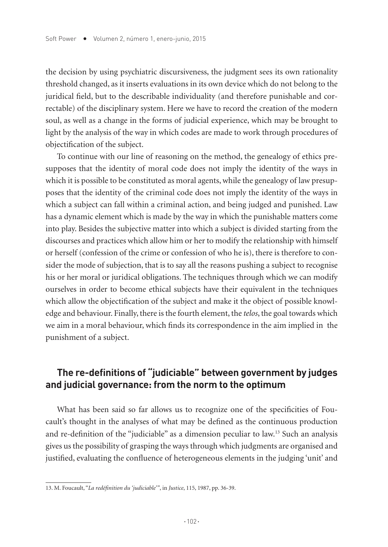the decision by using psychiatric discursiveness, the judgment sees its own rationality threshold changed, as it inserts evaluations in its own device which do not belong to the juridical field, but to the describable individuality (and therefore punishable and correctable) of the disciplinary system. Here we have to record the creation of the modern soul, as well as a change in the forms of judicial experience, which may be brought to light by the analysis of the way in which codes are made to work through procedures of objectification of the subject.

To continue with our line of reasoning on the method, the genealogy of ethics presupposes that the identity of moral code does not imply the identity of the ways in which it is possible to be constituted as moral agents, while the genealogy of law presupposes that the identity of the criminal code does not imply the identity of the ways in which a subject can fall within a criminal action, and being judged and punished. Law has a dynamic element which is made by the way in which the punishable matters come into play. Besides the subjective matter into which a subject is divided starting from the discourses and practices which allow him or her to modify the relationship with himself or herself (confession of the crime or confession of who he is), there is therefore to consider the mode of subjection, that is to say all the reasons pushing a subject to recognise his or her moral or juridical obligations. The techniques through which we can modify ourselves in order to become ethical subjects have their equivalent in the techniques which allow the objectification of the subject and make it the object of possible knowledge and behaviour. Finally, there is the fourth element, the *telos*, the goal towards which we aim in a moral behaviour, which finds its correspondence in the aim implied in the punishment of a subject.

## **The re-definitions of "judiciable" between government by judges and judicial governance: from the norm to the optimum**

What has been said so far allows us to recognize one of the specificities of Foucault's thought in the analyses of what may be defined as the continuous production and re-definition of the "judiciable" as a dimension peculiar to law.13 Such an analysis gives us the possibility of grasping the ways through which judgments are organised and justified, evaluating the confluence of heterogeneous elements in the judging 'unit' and

<sup>13.</sup> M. Foucault, "*La redéfinition du 'judiciable'"*, in *Justice*, 115, 1987, pp. 36-39.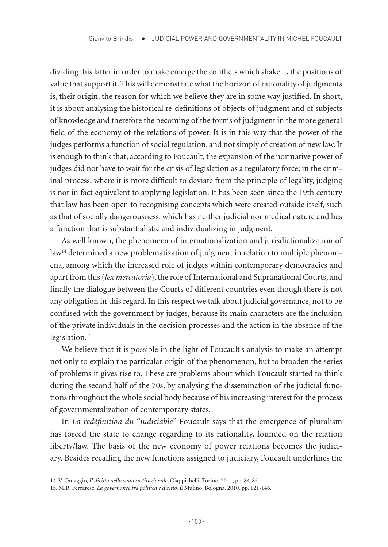dividing this latter in order to make emerge the conflicts which shake it, the positions of value that support it. This will demonstrate what the horizon of rationality of judgments is, their origin, the reason for which we believe they are in some way justified. In short, it is about analysing the historical re-definitions of objects of judgment and of subjects of knowledge and therefore the becoming of the forms of judgment in the more general field of the economy of the relations of power. It is in this way that the power of the judges performs a function of social regulation, and not simply of creation of new law. It is enough to think that, according to Foucault, the expansion of the normative power of judges did not have to wait for the crisis of legislation as a regulatory force; in the criminal process, where it is more difficult to deviate from the principle of legality, judging is not in fact equivalent to applying legislation. It has been seen since the 19th century that law has been open to recognising concepts which were created outside itself, such as that of socially dangerousness, which has neither judicial nor medical nature and has a function that is substantialistic and individualizing in judgment.

As well known, the phenomena of internationalization and jurisdictionalization of  $law<sup>14</sup> determined a new problematization of judgment in relation to multiple phenomena.$ ena, among which the increased role of judges within contemporary democracies and apart from this (*lex mercatoria*), the role of International and Supranational Courts, and finally the dialogue between the Courts of different countries even though there is not any obligation in this regard. In this respect we talk about judicial governance, not to be confused with the government by judges, because its main characters are the inclusion of the private individuals in the decision processes and the action in the absence of the legislation.<sup>15</sup>

We believe that it is possible in the light of Foucault's analysis to make an attempt not only to explain the particular origin of the phenomenon, but to broaden the series of problems it gives rise to. These are problems about which Foucault started to think during the second half of the 70s, by analysing the dissemination of the judicial functions throughout the whole social body because of his increasing interest for the process of governmentalization of contemporary states.

In *La redéfinition du "judiciable"* Foucault says that the emergence of pluralism has forced the state to change regarding to its rationality, founded on the relation liberty/law. The basis of the new economy of power relations becomes the judiciary. Besides recalling the new functions assigned to judiciary, Foucault underlines the

<sup>14.</sup> V. Omaggio, *Il diritto nello stato costituzionale*, Giappichelli, Torino, 2011, pp. 84-85.

<sup>15.</sup> M.R. Ferrarese, *La governance tra politica e diritto*, il Mulino, Bologna, 2010, pp. 121-146.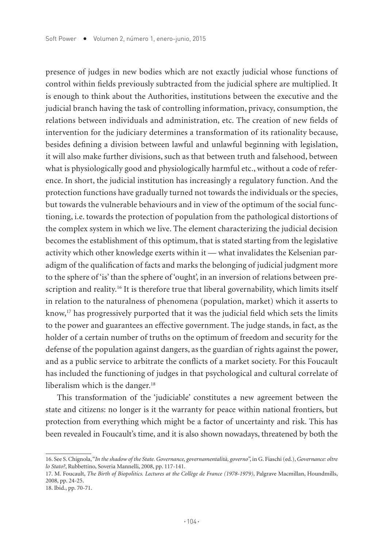presence of judges in new bodies which are not exactly judicial whose functions of control within fields previously subtracted from the judicial sphere are multiplied. It is enough to think about the Authorities, institutions between the executive and the judicial branch having the task of controlling information, privacy, consumption, the relations between individuals and administration, etc. The creation of new fields of intervention for the judiciary determines a transformation of its rationality because, besides defining a division between lawful and unlawful beginning with legislation, it will also make further divisions, such as that between truth and falsehood, between what is physiologically good and physiologically harmful etc., without a code of reference. In short, the judicial institution has increasingly a regulatory function. And the protection functions have gradually turned not towards the individuals or the species, but towards the vulnerable behaviours and in view of the optimum of the social functioning, i.e. towards the protection of population from the pathological distortions of the complex system in which we live. The element characterizing the judicial decision becomes the establishment of this optimum, that is stated starting from the legislative activity which other knowledge exerts within it — what invalidates the Kelsenian paradigm of the qualification of facts and marks the belonging of judicial judgment more to the sphere of 'is' than the sphere of 'ought', in an inversion of relations between prescription and reality.<sup>16</sup> It is therefore true that liberal governability, which limits itself in relation to the naturalness of phenomena (population, market) which it asserts to know,17 has progressively purported that it was the judicial field which sets the limits to the power and guarantees an effective government. The judge stands, in fact, as the holder of a certain number of truths on the optimum of freedom and security for the defense of the population against dangers, as the guardian of rights against the power, and as a public service to arbitrate the conflicts of a market society. For this Foucault has included the functioning of judges in that psychological and cultural correlate of liberalism which is the danger.<sup>18</sup>

This transformation of the 'judiciable' constitutes a new agreement between the state and citizens: no longer is it the warranty for peace within national frontiers, but protection from everything which might be a factor of uncertainty and risk. This has been revealed in Foucault's time, and it is also shown nowadays, threatened by both the

<sup>16.</sup> See S. Chignola, "*In the shadow of the State. Governance, governamentalità, governo*", in G. Fiaschi (ed.), *Governance: oltre lo Stato?*, Rubbettino, Soveria Mannelli, 2008, pp. 117-141.

<sup>17.</sup> M. Foucault, *The Birth of Biopolitics. Lectures at the Collège de France (1978-1979)*, Palgrave Macmillan, Houndmills, 2008, pp. 24-25.

<sup>18.</sup> Ibid., pp. 70-71.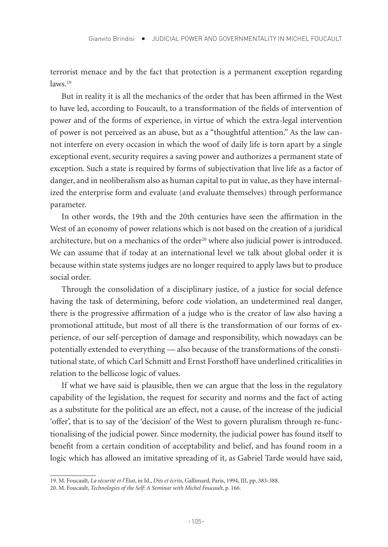terrorist menace and by the fact that protection is a permanent exception regarding  $laws<sup>19</sup>$ 

But in reality it is all the mechanics of the order that has been affirmed in the West to have led, according to Foucault, to a transformation of the fields of intervention of power and of the forms of experience, in virtue of which the extra-legal intervention of power is not perceived as an abuse, but as a "thoughtful attention." As the law cannot interfere on every occasion in which the woof of daily life is torn apart by a single exceptional event, security requires a saving power and authorizes a permanent state of exception. Such a state is required by forms of subjectivation that live life as a factor of danger, and in neoliberalism also as human capital to put in value, as they have internalized the enterprise form and evaluate (and evaluate themselves) through performance parameter.

In other words, the 19th and the 20th centuries have seen the affirmation in the West of an economy of power relations which is not based on the creation of a juridical architecture, but on a mechanics of the order $20$  where also judicial power is introduced. We can assume that if today at an international level we talk about global order it is because within state systems judges are no longer required to apply laws but to produce social order.

Through the consolidation of a disciplinary justice, of a justice for social defence having the task of determining, before code violation, an undetermined real danger, there is the progressive affirmation of a judge who is the creator of law also having a promotional attitude, but most of all there is the transformation of our forms of experience, of our self-perception of damage and responsibility, which nowadays can be potentially extended to everything — also because of the transformations of the constitutional state, of which Carl Schmitt and Ernst Forsthoff have underlined criticalities in relation to the bellicose logic of values.

If what we have said is plausible, then we can argue that the loss in the regulatory capability of the legislation, the request for security and norms and the fact of acting as a substitute for the political are an effect, not a cause, of the increase of the judicial 'offer', that is to say of the 'decision' of the West to govern pluralism through re-functionalising of the judicial power. Since modernity, the judicial power has found itself to benefit from a certain condition of acceptability and belief, and has found room in a logic which has allowed an imitative spreading of it, as Gabriel Tarde would have said,

<sup>19.</sup> M. Foucault, *La sécurité et l'État*, in Id., *Dits et écrits*, Gallimard, Paris, 1994, III, pp. 383-388.

<sup>20.</sup> M. Foucault, *Technologies of the Self: A Seminar with Michel Foucault*, p. 166.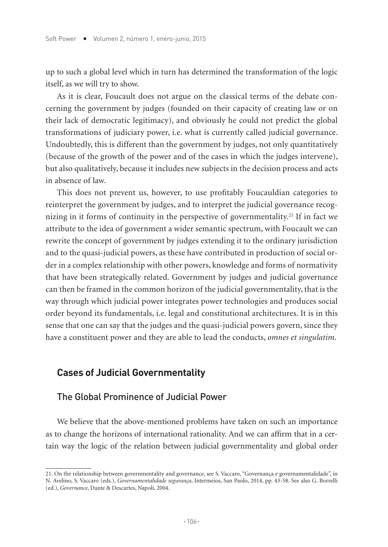up to such a global level which in turn has determined the transformation of the logic itself, as we will try to show.

As it is clear, Foucault does not argue on the classical terms of the debate concerning the government by judges (founded on their capacity of creating law or on their lack of democratic legitimacy), and obviously he could not predict the global transformations of judiciary power, i.e. what is currently called judicial governance. Undoubtedly, this is different than the government by judges, not only quantitatively (because of the growth of the power and of the cases in which the judges intervene), but also qualitatively, because it includes new subjects in the decision process and acts in absence of law.

This does not prevent us, however, to use profitably Foucauldian categories to reinterpret the government by judges, and to interpret the judicial governance recognizing in it forms of continuity in the perspective of governmentality.<sup>21</sup> If in fact we attribute to the idea of government a wider semantic spectrum, with Foucault we can rewrite the concept of government by judges extending it to the ordinary jurisdiction and to the quasi-judicial powers, as these have contributed in production of social order in a complex relationship with other powers, knowledge and forms of normativity that have been strategically related. Government by judges and judicial governance can then be framed in the common horizon of the judicial governmentality, that is the way through which judicial power integrates power technologies and produces social order beyond its fundamentals, i.e. legal and constitutional architectures. It is in this sense that one can say that the judges and the quasi-judicial powers govern, since they have a constituent power and they are able to lead the conducts, *omnes et singulatim*.

## **Cases of Judicial Governmentality**

### The Global Prominence of Judicial Power

We believe that the above-mentioned problems have taken on such an importance as to change the horizons of international rationality. And we can affirm that in a certain way the logic of the relation between judicial governmentality and global order

<sup>21.</sup> On the relationship between governmentality and governance, see S. Vaccaro, "Governança e governamentalidade", in N. Avelino, S. Vaccaro (eds.), *Governamentalidade segurança*, Intermeios, San Paolo, 2014, pp. 43-58. See also G. Borrelli (ed.), *Governance*, Dante & Descartes, Napoli, 2004.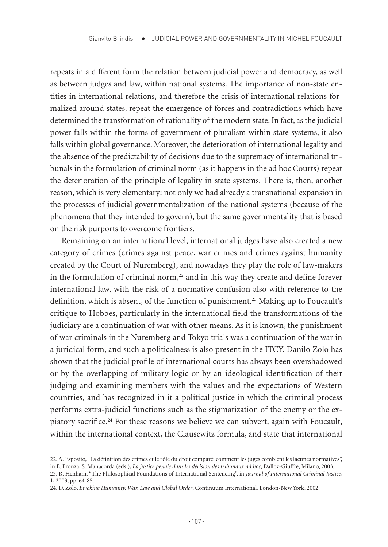repeats in a different form the relation between judicial power and democracy, as well as between judges and law, within national systems. The importance of non-state entities in international relations, and therefore the crisis of international relations formalized around states, repeat the emergence of forces and contradictions which have determined the transformation of rationality of the modern state. In fact, as the judicial power falls within the forms of government of pluralism within state systems, it also falls within global governance. Moreover, the deterioration of international legality and the absence of the predictability of decisions due to the supremacy of international tribunals in the formulation of criminal norm (as it happens in the ad hoc Courts) repeat the deterioration of the principle of legality in state systems. There is, then, another reason, which is very elementary: not only we had already a transnational expansion in the processes of judicial governmentalization of the national systems (because of the phenomena that they intended to govern), but the same governmentality that is based on the risk purports to overcome frontiers.

Remaining on an international level, international judges have also created a new category of crimes (crimes against peace, war crimes and crimes against humanity created by the Court of Nuremberg), and nowadays they play the role of law-makers in the formulation of criminal norm, $22$  and in this way they create and define forever international law, with the risk of a normative confusion also with reference to the definition, which is absent, of the function of punishment.23 Making up to Foucault's critique to Hobbes, particularly in the international field the transformations of the judiciary are a continuation of war with other means. As it is known, the punishment of war criminals in the Nuremberg and Tokyo trials was a continuation of the war in a juridical form, and such a politicalness is also present in the ITCY. Danilo Zolo has shown that the judicial profile of international courts has always been overshadowed or by the overlapping of military logic or by an ideological identification of their judging and examining members with the values and the expectations of Western countries, and has recognized in it a political justice in which the criminal process performs extra-judicial functions such as the stigmatization of the enemy or the expiatory sacrifice.<sup>24</sup> For these reasons we believe we can subvert, again with Foucault, within the international context, the Clausewitz formula, and state that international

<sup>22.</sup> A. Esposito, "La définition des crimes et le rôle du droit comparé: comment les juges comblent les lacunes normatives", in E. Fronza, S. Manacorda (eds.), *La justice pénale dans les décision des tribunaux ad hoc*, Dalloz-Giuffrè, Milano, 2003.

<sup>23.</sup> R. Henham, "The Philosophical Foundations of International Sentencing", in *Journal of International Criminal Justice*, 1, 2003, pp. 64-85.

<sup>24.</sup> D. Zolo, *Invoking Humanity. War, Law and Global Order*, Continuum International, London-New York, 2002.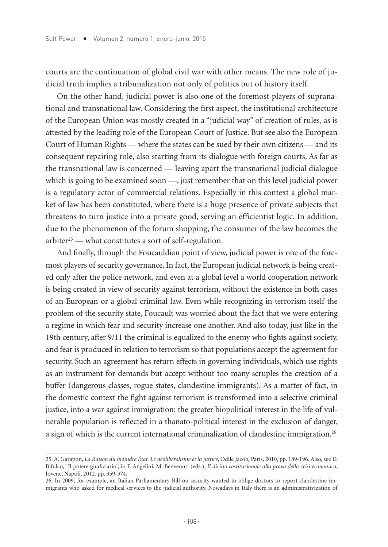courts are the continuation of global civil war with other means. The new role of judicial truth implies a tribunalization not only of politics but of history itself.

On the other hand, judicial power is also one of the foremost players of supranational and transnational law. Considering the first aspect, the institutional architecture of the European Union was mostly created in a "judicial way" of creation of rules, as is attested by the leading role of the European Court of Justice. But see also the European Court of Human Rights — where the states can be sued by their own citizens — and its consequent repairing role, also starting from its dialogue with foreign courts. As far as the transnational law is concerned — leaving apart the transnational judicial dialogue which is going to be examined soon —, just remember that on this level judicial power is a regulatory actor of commercial relations. Especially in this context a global market of law has been constituted, where there is a huge presence of private subjects that threatens to turn justice into a private good, serving an efficientist logic. In addition, due to the phenomenon of the forum shopping, the consumer of the law becomes the arbiter<sup>25</sup> — what constitutes a sort of self-regulation.

And finally, through the Foucauldian point of view, judicial power is one of the foremost players of security governance. In fact, the European judicial network is being created only after the police network, and even at a global level a world cooperation network is being created in view of security against terrorism, without the existence in both cases of an European or a global criminal law. Even while recognizing in terrorism itself the problem of the security state, Foucault was worried about the fact that we were entering a regime in which fear and security increase one another. And also today, just like in the 19th century, after 9/11 the criminal is equalized to the enemy who fights against society, and fear is produced in relation to terrorism so that populations accept the agreement for security. Such an agreement has return effects in governing individuals, which use rights as an instrument for demands but accept without too many scruples the creation of a buffer (dangerous classes, rogue states, clandestine immigrants). As a matter of fact, in the domestic context the fight against terrorism is transformed into a selective criminal justice, into a war against immigration: the greater biopolitical interest in the life of vulnerable population is reflected in a thanato-political interest in the exclusion of danger, a sign of which is the current international criminalization of clandestine immigration.<sup>26</sup>

<sup>25.</sup> A. Garapon, *La Raison du moindre État. Le néolibéralisme et la justice*, Odile Jacob, Paris, 2010, pp. 189-196. Also, see D. Bifulco, "Il potere giudiziario", in F. Angelini, M. Benvenuti (eds.), *Il diritto costituzionale alla prova della crisi economica*, Jovene, Napoli, 2012, pp. 359-374.

<sup>26.</sup> In 2009, for example, an Italian Parliamentary Bill on security wanted to oblige doctors to report clandestine immigrants who asked for medical services to the judicial authority. Nowadays in Italy there is an administrativization of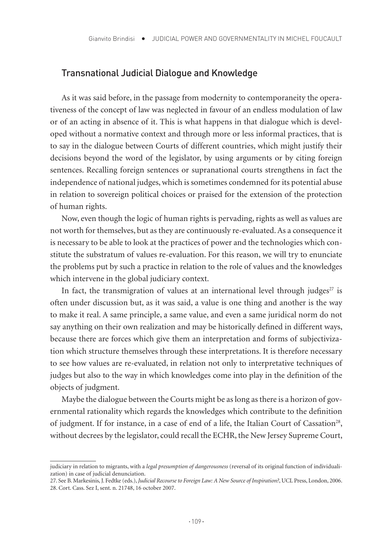#### Transnational Judicial Dialogue and Knowledge

As it was said before, in the passage from modernity to contemporaneity the operativeness of the concept of law was neglected in favour of an endless modulation of law or of an acting in absence of it. This is what happens in that dialogue which is developed without a normative context and through more or less informal practices, that is to say in the dialogue between Courts of different countries, which might justify their decisions beyond the word of the legislator, by using arguments or by citing foreign sentences. Recalling foreign sentences or supranational courts strengthens in fact the independence of national judges, which is sometimes condemned for its potential abuse in relation to sovereign political choices or praised for the extension of the protection of human rights.

Now, even though the logic of human rights is pervading, rights as well as values are not worth for themselves, but as they are continuously re-evaluated. As a consequence it is necessary to be able to look at the practices of power and the technologies which constitute the substratum of values re-evaluation. For this reason, we will try to enunciate the problems put by such a practice in relation to the role of values and the knowledges which intervene in the global judiciary context.

In fact, the transmigration of values at an international level through judges $2^7$  is often under discussion but, as it was said, a value is one thing and another is the way to make it real. A same principle, a same value, and even a same juridical norm do not say anything on their own realization and may be historically defined in different ways, because there are forces which give them an interpretation and forms of subjectivization which structure themselves through these interpretations. It is therefore necessary to see how values are re-evaluated, in relation not only to interpretative techniques of judges but also to the way in which knowledges come into play in the definition of the objects of judgment.

Maybe the dialogue between the Courts might be as long as there is a horizon of governmental rationality which regards the knowledges which contribute to the definition of judgment. If for instance, in a case of end of a life, the Italian Court of Cassation<sup>28</sup>, without decrees by the legislator, could recall the ECHR, the New Jersey Supreme Court,

judiciary in relation to migrants, with a *legal presumption of dangerousness* (reversal of its original function of individualization) in case of judicial denunciation.

<sup>27.</sup> See B. Markesinis, J. Fedtke (eds.), *Judicial Recourse to Foreign Law: A New Source of Inspiration?*, UCL Press, London, 2006. 28. Cort. Cass. Sez I, sent. n. 21748, 16 october 2007.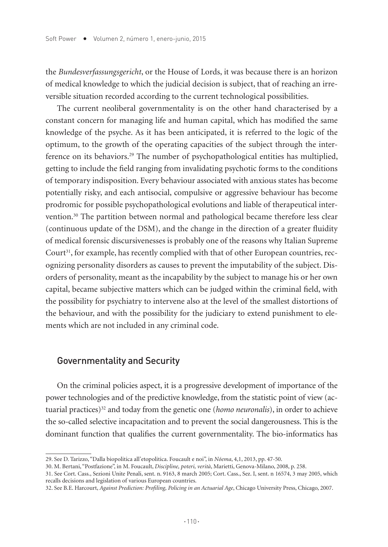the *Bundesverfassungsgericht*, or the House of Lords, it was because there is an horizon of medical knowledge to which the judicial decision is subject, that of reaching an irreversible situation recorded according to the current technological possibilities.

The current neoliberal governmentality is on the other hand characterised by a constant concern for managing life and human capital, which has modified the same knowledge of the psyche. As it has been anticipated, it is referred to the logic of the optimum, to the growth of the operating capacities of the subject through the interference on its behaviors.<sup>29</sup> The number of psychopathological entities has multiplied, getting to include the field ranging from invalidating psychotic forms to the conditions of temporary indisposition. Every behaviour associated with anxious states has become potentially risky, and each antisocial, compulsive or aggressive behaviour has become prodromic for possible psychopathological evolutions and liable of therapeutical intervention.30 The partition between normal and pathological became therefore less clear (continuous update of the DSM), and the change in the direction of a greater fluidity of medical forensic discursivenesses is probably one of the reasons why Italian Supreme Court<sup>31</sup>, for example, has recently complied with that of other European countries, recognizing personality disorders as causes to prevent the imputability of the subject. Disorders of personality, meant as the incapability by the subject to manage his or her own capital, became subjective matters which can be judged within the criminal field, with the possibility for psychiatry to intervene also at the level of the smallest distortions of the behaviour, and with the possibility for the judiciary to extend punishment to elements which are not included in any criminal code.

## Governmentality and Security

On the criminal policies aspect, it is a progressive development of importance of the power technologies and of the predictive knowledge, from the statistic point of view (actuarial practices)<sup>32</sup> and today from the genetic one (*homo neuronalis*), in order to achieve the so-called selective incapacitation and to prevent the social dangerousness. This is the dominant function that qualifies the current governmentality. The bio-informatics has

<sup>29.</sup> See D. Tarizzo, "Dalla biopolitica all'etopolitica. Foucault e noi", in *Nóema*, 4,1, 2013, pp. 47-50.

<sup>30.</sup> M. Bertani, "Postfazione", in M. Foucault, *Discipline, poteri, verità*, Marietti, Genova-Milano, 2008, p. 258.

<sup>31.</sup> See Cort. Cass., Sezioni Unite Penali, sent. n. 9163, 8 march 2005; Cort. Cass., Sez. I, sent. n 16574, 3 may 2005, which recalls decisions and legislation of various European countries.

<sup>32.</sup> See B.E. Harcourt, *Against Prediction: Profiling, Policing in an Actuarial Age*, Chicago University Press, Chicago, 2007.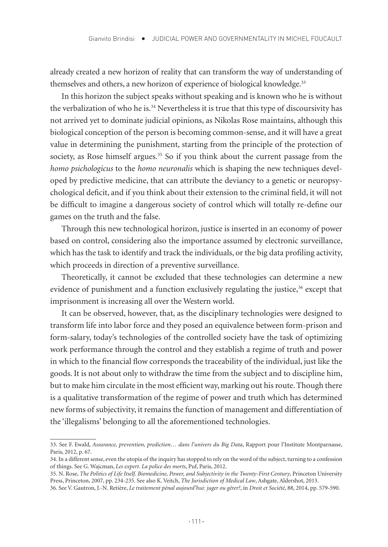already created a new horizon of reality that can transform the way of understanding of themselves and others, a new horizon of experience of biological knowledge.<sup>33</sup>

In this horizon the subject speaks without speaking and is known who he is without the verbalization of who he is.<sup>34</sup> Nevertheless it is true that this type of discoursivity has not arrived yet to dominate judicial opinions, as Nikolas Rose maintains, although this biological conception of the person is becoming common-sense, and it will have a great value in determining the punishment, starting from the principle of the protection of society, as Rose himself argues.<sup>35</sup> So if you think about the current passage from the *homo psichologicus* to the *homo neuronalis* which is shaping the new techniques developed by predictive medicine, that can attribute the deviancy to a genetic or neuropsychological deficit, and if you think about their extension to the criminal field, it will not be difficult to imagine a dangerous society of control which will totally re-define our games on the truth and the false.

Through this new technological horizon, justice is inserted in an economy of power based on control, considering also the importance assumed by electronic surveillance, which has the task to identify and track the individuals, or the big data profiling activity, which proceeds in direction of a preventive surveillance.

Theoretically, it cannot be excluded that these technologies can determine a new evidence of punishment and a function exclusively regulating the justice,<sup>36</sup> except that imprisonment is increasing all over the Western world.

It can be observed, however, that, as the disciplinary technologies were designed to transform life into labor force and they posed an equivalence between form-prison and form-salary, today's technologies of the controlled society have the task of optimizing work performance through the control and they establish a regime of truth and power in which to the financial flow corresponds the traceability of the individual, just like the goods. It is not about only to withdraw the time from the subject and to discipline him, but to make him circulate in the most efficient way, marking out his route. Though there is a qualitative transformation of the regime of power and truth which has determined new forms of subjectivity, it remains the function of management and differentiation of the 'illegalisms' belonging to all the aforementioned technologies.

<sup>33.</sup> See F. Ewald, *Assurance, prevention, prediction… dans l'univers du Big Data*, Rapport pour l'Institute Montparnasse, Paris, 2012, p. 67.

<sup>34.</sup> In a different sense, even the utopia of the inquiry has stopped to rely on the word of the subject, turning to a confession of things. See G. Wajcman, *Les expert. La police des morts*, Puf, Paris, 2012.

<sup>35.</sup> N. Rose, *The Politics of Life Itself. Biomedicine, Power, and Subjectivity in the Twenty-First Century*, Princeton University Press, Princeton, 2007, pp. 234-235. See also K. Veitch, *The Jurisdiction of Medical Law*, Ashgate, Aldershot, 2013.

<sup>36.</sup> See V. Gautron, J.-N. Retière, *Le traitement pénal aujourd'hui: juger ou gérer?*, in *Droit et Société*, 88, 2014, pp. 579-590.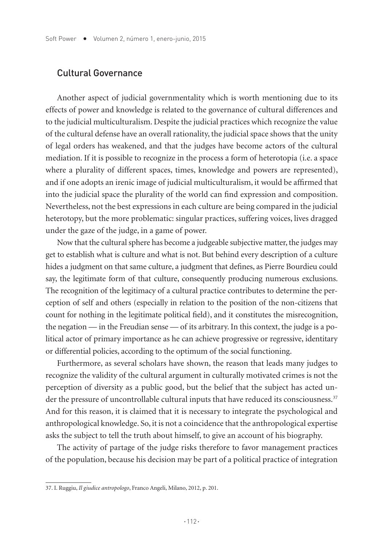#### Cultural Governance

Another aspect of judicial governmentality which is worth mentioning due to its effects of power and knowledge is related to the governance of cultural differences and to the judicial multiculturalism. Despite the judicial practices which recognize the value of the cultural defense have an overall rationality, the judicial space shows that the unity of legal orders has weakened, and that the judges have become actors of the cultural mediation. If it is possible to recognize in the process a form of heterotopia (i.e. a space where a plurality of different spaces, times, knowledge and powers are represented), and if one adopts an irenic image of judicial multiculturalism, it would be affirmed that into the judicial space the plurality of the world can find expression and composition. Nevertheless, not the best expressions in each culture are being compared in the judicial heterotopy, but the more problematic: singular practices, suffering voices, lives dragged under the gaze of the judge, in a game of power.

Now that the cultural sphere has become a judgeable subjective matter, the judges may get to establish what is culture and what is not. But behind every description of a culture hides a judgment on that same culture, a judgment that defines, as Pierre Bourdieu could say, the legitimate form of that culture, consequently producing numerous exclusions. The recognition of the legitimacy of a cultural practice contributes to determine the perception of self and others (especially in relation to the position of the non-citizens that count for nothing in the legitimate political field), and it constitutes the misrecognition, the negation — in the Freudian sense — of its arbitrary. In this context, the judge is a political actor of primary importance as he can achieve progressive or regressive, identitary or differential policies, according to the optimum of the social functioning.

Furthermore, as several scholars have shown, the reason that leads many judges to recognize the validity of the cultural argument in culturally motivated crimes is not the perception of diversity as a public good, but the belief that the subject has acted under the pressure of uncontrollable cultural inputs that have reduced its consciousness.<sup>37</sup> And for this reason, it is claimed that it is necessary to integrate the psychological and anthropological knowledge. So, it is not a coincidence that the anthropological expertise asks the subject to tell the truth about himself, to give an account of his biography.

The activity of partage of the judge risks therefore to favor management practices of the population, because his decision may be part of a political practice of integration

<sup>37.</sup> I. Ruggiu, *Il giudice antropologo*, Franco Angeli, Milano, 2012, p. 201.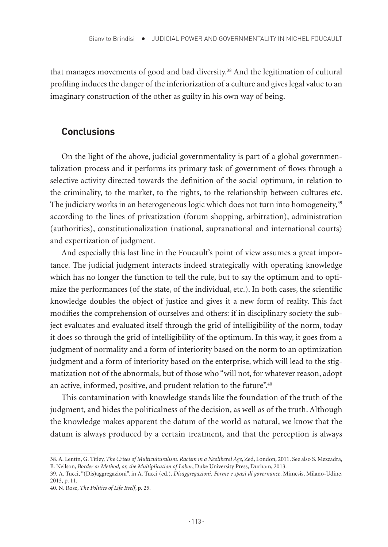that manages movements of good and bad diversity.<sup>38</sup> And the legitimation of cultural profiling induces the danger of the inferiorization of a culture and gives legal value to an imaginary construction of the other as guilty in his own way of being.

#### **Conclusions**

On the light of the above, judicial governmentality is part of a global governmentalization process and it performs its primary task of government of flows through a selective activity directed towards the definition of the social optimum, in relation to the criminality, to the market, to the rights, to the relationship between cultures etc. The judiciary works in an heterogeneous logic which does not turn into homogeneity,<sup>39</sup> according to the lines of privatization (forum shopping, arbitration), administration (authorities), constitutionalization (national, supranational and international courts) and expertization of judgment.

And especially this last line in the Foucault's point of view assumes a great importance. The judicial judgment interacts indeed strategically with operating knowledge which has no longer the function to tell the rule, but to say the optimum and to optimize the performances (of the state, of the individual, etc.). In both cases, the scientific knowledge doubles the object of justice and gives it a new form of reality. This fact modifies the comprehension of ourselves and others: if in disciplinary society the subject evaluates and evaluated itself through the grid of intelligibility of the norm, today it does so through the grid of intelligibility of the optimum. In this way, it goes from a judgment of normality and a form of interiority based on the norm to an optimization judgment and a form of interiority based on the enterprise, which will lead to the stigmatization not of the abnormals, but of those who "will not, for whatever reason, adopt an active, informed, positive, and prudent relation to the future".<sup>40</sup>

This contamination with knowledge stands like the foundation of the truth of the judgment, and hides the politicalness of the decision, as well as of the truth. Although the knowledge makes apparent the datum of the world as natural, we know that the datum is always produced by a certain treatment, and that the perception is always

<sup>38.</sup> A. Lentin, G. Titley, *The Crises of Multiculturalism. Racism in a Neoliberal Age*, Zed, London, 2011. See also S. Mezzadra, B. Neilson, *Border as Method, or, the Multiplication of Labor*, Duke University Press, Durham, 2013.

<sup>39.</sup> A. Tucci, "(Dis)aggregazioni", in A. Tucci (ed.), *Disaggregazioni. Forme e spazi di governance*, Mimesis, Milano-Udine, 2013, p. 11.

<sup>40.</sup> N. Rose, *The Politics of Life Itself*, p. 25.